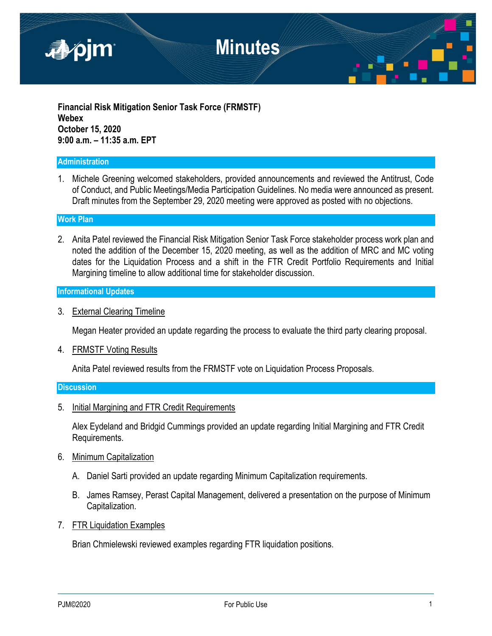

**Financial Risk Mitigation Senior Task Force (FRMSTF) Webex October 15, 2020 9:00 a.m. – 11:35 a.m. EPT**

#### **Administration**

1. Michele Greening welcomed stakeholders, provided announcements and reviewed the Antitrust, Code of Conduct, and Public Meetings/Media Participation Guidelines. No media were announced as present. Draft minutes from the September 29, 2020 meeting were approved as posted with no objections.

#### **Work Plan**

2. Anita Patel reviewed the Financial Risk Mitigation Senior Task Force stakeholder process work plan and noted the addition of the December 15, 2020 meeting, as well as the addition of MRC and MC voting dates for the Liquidation Process and a shift in the FTR Credit Portfolio Requirements and Initial Margining timeline to allow additional time for stakeholder discussion.

## **Informational Updates**

3. External Clearing Timeline

Megan Heater provided an update regarding the process to evaluate the third party clearing proposal.

4. FRMSTF Voting Results

Anita Patel reviewed results from the FRMSTF vote on Liquidation Process Proposals.

#### **Discussion**

5. Initial Margining and FTR Credit Requirements

Alex Eydeland and Bridgid Cummings provided an update regarding Initial Margining and FTR Credit Requirements.

- 6. Minimum Capitalization
	- A. Daniel Sarti provided an update regarding Minimum Capitalization requirements.
	- B. James Ramsey, Perast Capital Management, delivered a presentation on the purpose of Minimum Capitalization.
- 7. FTR Liquidation Examples

Brian Chmielewski reviewed examples regarding FTR liquidation positions.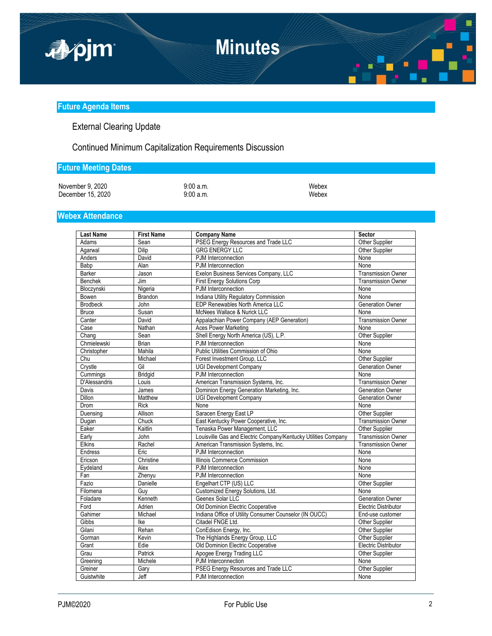

#### **Future Agenda Items**

# External Clearing Update

Continued Minimum Capitalization Requirements Discussion

## **Future Meeting Dates**

November 9, 2020 9:00 a.m.<br>
December 15, 2020 9:00 a.m. 9:00 a.m. December  $15, 2020$ 

### **Webex Attendance**

| <b>Last Name</b>          | <b>First Name</b> | <b>Company Name</b>                                            | Sector                      |
|---------------------------|-------------------|----------------------------------------------------------------|-----------------------------|
| Adams                     | Sean              | PSEG Energy Resources and Trade LLC                            | Other Supplier              |
| Agarwal                   | Dilip             | <b>GRG ENERGY LLC</b><br>Other Supplier                        |                             |
| Anders                    | David             | PJM Interconnection<br>None                                    |                             |
| Babp                      | Alan              | PJM Interconnection                                            | None                        |
| <b>Barker</b>             | Jason             | Exelon Business Services Company, LLC                          | <b>Transmission Owner</b>   |
| Benchek                   | Jim               | <b>First Energy Solutions Corp</b>                             | <b>Transmission Owner</b>   |
| Bloczynski                | Nigeria           | PJM Interconnection                                            | None                        |
| Bowen                     | <b>Brandon</b>    | Indiana Utility Regulatory Commission<br>None                  |                             |
| <b>Brodbeck</b>           | John              | EDP Renewables North America LLC<br><b>Generation Owner</b>    |                             |
| <b>Bruce</b>              | Susan             | McNees Wallace & Nurick LLC<br>None                            |                             |
| Canter                    | David             | Appalachian Power Company (AEP Generation)                     | <b>Transmission Owner</b>   |
| Case                      | Nathan            | <b>Aces Power Marketing</b>                                    | None                        |
| $\overline{\text{Chang}}$ | Sean              | Shell Energy North America (US), L.P.                          | Other Supplier              |
| Chmielewski               | <b>Brian</b>      | PJM Interconnection                                            | None                        |
| Christopher               | Mahila            | Public Utilities Commission of Ohio                            | None                        |
| Chu                       | Michael           | Forest Investment Group, LLC                                   | Other Supplier              |
| Crystle                   | Gil               | <b>UGI Development Company</b>                                 | Generation Owner            |
| Cummings                  | Bridgid           | PJM Interconnection                                            | None                        |
| D'Alessandris             | Louis             | American Transmission Systems, Inc.                            | <b>Transmission Owner</b>   |
| Davis                     | James             | Dominion Energy Generation Marketing, Inc.                     | <b>Generation Owner</b>     |
| <b>Dillon</b>             | Matthew           | <b>UGI Development Company</b>                                 | <b>Generation Owner</b>     |
| <b>Drom</b>               | <b>Rick</b>       | None                                                           | None                        |
| Duensing                  | Allison           | Saracen Energy East LP                                         | <b>Other Supplier</b>       |
| Dugan                     | Chuck             | East Kentucky Power Cooperative, Inc.                          | <b>Transmission Owner</b>   |
| Eaker                     | Kaitlin           | Tenaska Power Management, LLC                                  | <b>Other Supplier</b>       |
| Early                     | John              | Louisville Gas and Electric Company/Kentucky Utilities Company | <b>Transmission Owner</b>   |
| Elkins                    | Rachel            | American Transmission Systems, Inc.                            | <b>Transmission Owner</b>   |
| Endress                   | Eric              | PJM Interconnection                                            | None                        |
| Ericson                   | Christine         | Illinois Commerce Commission                                   | None                        |
| Eydeland                  | Alex              | PJM Interconnection                                            | None                        |
| Fan                       | Zhenyu            | PJM Interconnection                                            | None                        |
| Fazio                     | Danielle          | Engelhart CTP (US) LLC                                         | Other Supplier              |
| Filomena                  | Guy               | Customized Energy Solutions, Ltd.                              | None                        |
| Foladare                  | Kenneth           | Geenex Solar LLC                                               | <b>Generation Owner</b>     |
| Ford                      | Adrien            | Old Dominion Electric Cooperative                              | <b>Electric Distributor</b> |
| Gahimer                   | Michael           | Indiana Office of Utility Consumer Counselor (IN OUCC)         | End-use customer            |
| Gibbs                     | lke               | Citadel FNGE Ltd.                                              | Other Supplier              |
| Gilani                    | Rehan             | ConEdison Energy, Inc.                                         | Other Supplier              |
| Gorman                    | Kevin             | The Highlands Energy Group, LLC                                | Other Supplier              |
| Grant                     | Edie              | Old Dominion Electric Cooperative                              | <b>Electric Distributor</b> |
| Grau                      | Patrick           | Apogee Energy Trading LLC                                      | Other Supplier              |
| Greening                  | Michele           | PJM Interconnection                                            | None                        |
| Greiner                   | Gary              | PSEG Energy Resources and Trade LLC                            | <b>Other Supplier</b>       |
| Guistwhite                | Jeff              | PJM Interconnection                                            | None                        |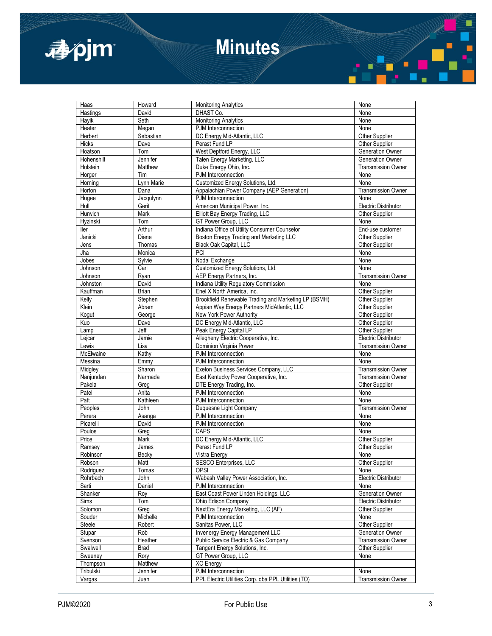

# **Minutes**

| Haas                | Howard       | <b>Monitoring Analytics</b>                          | None                        |
|---------------------|--------------|------------------------------------------------------|-----------------------------|
| Hastings            | David        | DHAST Co.                                            | None                        |
| Hayik               | Seth         | <b>Monitoring Analytics</b>                          | None                        |
| Heater              | Megan        | PJM Interconnection                                  | None                        |
| Herbert             | Sebastian    | DC Energy Mid-Atlantic, LLC                          | Other Supplier              |
| Hicks               | Dave         | Perast Fund LP                                       | <b>Other Supplier</b>       |
| Hoatson             | Tom          | West Deptford Energy, LLC                            | <b>Generation Owner</b>     |
| Hohenshilt          | Jennifer     | Talen Energy Marketing, LLC                          | Generation Owner            |
| Holstein            | Matthew      | Duke Energy Ohio, Inc.                               | <b>Transmission Owner</b>   |
| Horger              | Tim          | PJM Interconnection                                  | None                        |
| Horning             | Lynn Marie   | Customized Energy Solutions, Ltd.                    | None                        |
| Horton              | Dana         | Appalachian Power Company (AEP Generation)           | <b>Transmission Owner</b>   |
| Hugee               | Jacqulynn    | PJM Interconnection                                  | None                        |
| Hull                | Gerit        | American Municipal Power, Inc.                       | <b>Electric Distributor</b> |
| Hurwich             | Mark         | Elliott Bay Energy Trading, LLC                      | <b>Other Supplier</b>       |
| Hyzinski            | Tom          | GT Power Group, LLC                                  | None                        |
| ller                | Arthur       | Indiana Office of Utility Consumer Counselor         | End-use customer            |
| Janicki             | Diane        | Boston Energy Trading and Marketing LLC              | Other Supplier              |
| Jens                | Thomas       | Black Oak Capital, LLC                               | Other Supplier              |
| Jha                 | Monica       | PCI                                                  | None                        |
| Jobes               | Sylvie       | Nodal Exchange                                       | None                        |
| Johnson             | Carl         | Customized Energy Solutions, Ltd.                    | None                        |
| Johnson             | Ryan         | AEP Energy Partners, Inc.                            | Transmission Owner          |
| Johnston            | David        | Indiana Utility Regulatory Commission                | None                        |
| Kauffman            | <b>Brian</b> | Enel X North America, Inc.                           | Other Supplier              |
| Kelly               | Stephen      | Brookfield Renewable Trading and Marketing LP (BSMH) | Other Supplier              |
| Klein               | Abram        | Appian Way Energy Partners MidAtlantic, LLC          | Other Supplier              |
| Kogut               | George       | New York Power Authority                             | <b>Other Supplier</b>       |
| Kuo                 | Dave         | DC Energy Mid-Atlantic, LLC                          | <b>Other Supplier</b>       |
| Lamp                | Jeff         | Peak Energy Capital LP                               | Other Supplier              |
| Lejcar              | Jamie        | Allegheny Electric Cooperative, Inc.                 | <b>Electric Distributor</b> |
| Lewis               | Lisa         | Dominion Virginia Power                              | <b>Transmission Owner</b>   |
| McElwaine           | Kathy        | PJM Interconnection                                  | None                        |
| Messina             | Emmy         | PJM Interconnection                                  | None                        |
| Midgley             | Sharon       | Exelon Business Services Company, LLC                | <b>Transmission Owner</b>   |
| Nanjundan           | Narmada      | East Kentucky Power Cooperative, Inc.                | <b>Transmission Owner</b>   |
| Pakela              | Greg         | DTE Energy Trading, Inc.                             | <b>Other Supplier</b>       |
| Patel               | Anita        | PJM Interconnection                                  | None                        |
| Patt                | Kathleen     | PJM Interconnection                                  | None                        |
| Peoples             | John         | Duquesne Light Company                               | <b>Transmission Owner</b>   |
| Perera              | Asanga       | PJM Interconnection                                  | None                        |
| Picarelli           | David        | PJM Interconnection                                  | None                        |
| Poulos              | Greg         | CAPS                                                 | None                        |
| Price               | Mark         | DC Energy Mid-Atlantic, LLC                          | Other Supplier              |
| Ramsey              | James        | Perast Fund LP                                       | Other Supplier              |
| Robinson            | Becky        | Vistra Energy                                        | None                        |
| Robson              | Matt         | SESCO Enterprises, LLC                               | Other Supplier              |
| Rodriguez           | Tomas        | <b>OPSI</b>                                          | None                        |
| Rohrbach            | John         | Wabash Valley Power Association, Inc.                | Electric Distributor        |
| Sarti               | Daniel       | PJM Interconnection                                  | None                        |
| Shanker             | Roy          | East Coast Power Linden Holdings, LLC                | <b>Generation Owner</b>     |
| Sims                | Tom          | Ohio Edison Company                                  | <b>Electric Distributor</b> |
| Solomon             | Greg         | NextEra Energy Marketing, LLC (AF)                   | Other Supplier              |
| Souder              | Michelle     | PJM Interconnection                                  | None                        |
| Steele              | Robert       | Sanitas Power, LLC                                   | Other Supplier              |
| Stupar              | Rob          | <b>Invenergy Energy Management LLC</b>               | Generation Owner            |
| Svenson             | Heather      | Public Service Electric & Gas Company                | <b>Transmission Owner</b>   |
| Swalwell            | <b>Brad</b>  | Tangent Energy Solutions, Inc.                       | Other Supplier              |
|                     | Rory         | GT Power Group, LLC                                  | None                        |
| Sweeney<br>Thompson | Matthew      | XO Energy                                            |                             |
| Tribulski           | Jennifer     | PJM Interconnection                                  | None                        |
| Vargas              |              | PPL Electric Utilities Corp. dba PPL Utilities (TO)  | <b>Transmission Owner</b>   |
|                     | Juan         |                                                      |                             |

π

 $\blacksquare$